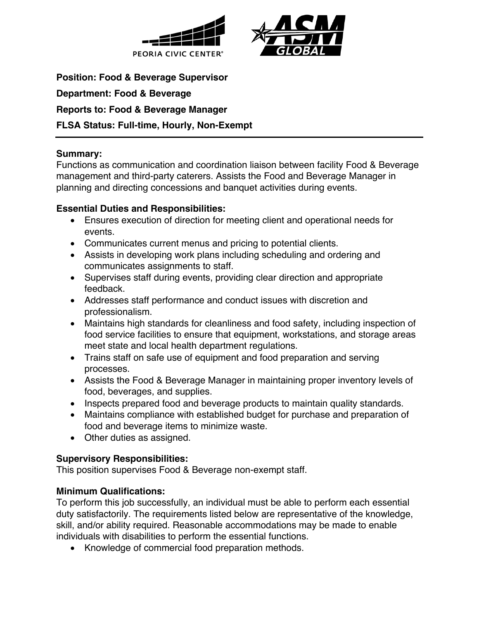



**Position: Food & Beverage Supervisor Department: Food & Beverage Reports to: Food & Beverage Manager FLSA Status: Full-time, Hourly, Non-Exempt**

## **Summary:**

Functions as communication and coordination liaison between facility Food & Beverage management and third-party caterers. Assists the Food and Beverage Manager in planning and directing concessions and banquet activities during events.

## **Essential Duties and Responsibilities:**

- Ensures execution of direction for meeting client and operational needs for events.
- Communicates current menus and pricing to potential clients.
- Assists in developing work plans including scheduling and ordering and communicates assignments to staff.
- Supervises staff during events, providing clear direction and appropriate feedback.
- Addresses staff performance and conduct issues with discretion and professionalism.
- Maintains high standards for cleanliness and food safety, including inspection of food service facilities to ensure that equipment, workstations, and storage areas meet state and local health department regulations.
- Trains staff on safe use of equipment and food preparation and serving processes.
- Assists the Food & Beverage Manager in maintaining proper inventory levels of food, beverages, and supplies.
- Inspects prepared food and beverage products to maintain quality standards.
- Maintains compliance with established budget for purchase and preparation of food and beverage items to minimize waste.
- Other duties as assigned.

# **Supervisory Responsibilities:**

This position supervises Food & Beverage non-exempt staff.

# **Minimum Qualifications:**

To perform this job successfully, an individual must be able to perform each essential duty satisfactorily. The requirements listed below are representative of the knowledge, skill, and/or ability required. Reasonable accommodations may be made to enable individuals with disabilities to perform the essential functions.

• Knowledge of commercial food preparation methods.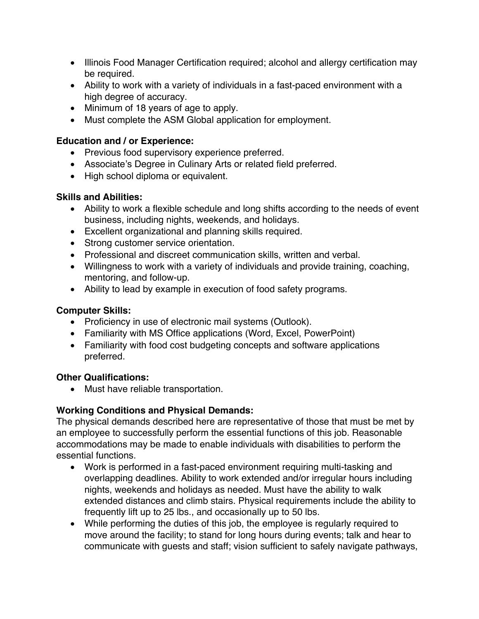- Illinois Food Manager Certification required; alcohol and allergy certification may be required.
- Ability to work with a variety of individuals in a fast-paced environment with a high degree of accuracy.
- Minimum of 18 years of age to apply.
- Must complete the ASM Global application for employment.

# **Education and / or Experience:**

- Previous food supervisory experience preferred.
- Associate's Degree in Culinary Arts or related field preferred.
- High school diploma or equivalent.

## **Skills and Abilities:**

- Ability to work a flexible schedule and long shifts according to the needs of event business, including nights, weekends, and holidays.
- Excellent organizational and planning skills required.
- Strong customer service orientation.
- Professional and discreet communication skills, written and verbal.
- Willingness to work with a variety of individuals and provide training, coaching, mentoring, and follow-up.
- Ability to lead by example in execution of food safety programs.

#### **Computer Skills:**

- Proficiency in use of electronic mail systems (Outlook).
- Familiarity with MS Office applications (Word, Excel, PowerPoint)
- Familiarity with food cost budgeting concepts and software applications preferred.

#### **Other Qualifications:**

• Must have reliable transportation.

# **Working Conditions and Physical Demands:**

The physical demands described here are representative of those that must be met by an employee to successfully perform the essential functions of this job. Reasonable accommodations may be made to enable individuals with disabilities to perform the essential functions.

- Work is performed in a fast-paced environment requiring multi-tasking and overlapping deadlines. Ability to work extended and/or irregular hours including nights, weekends and holidays as needed. Must have the ability to walk extended distances and climb stairs. Physical requirements include the ability to frequently lift up to 25 lbs., and occasionally up to 50 lbs.
- While performing the duties of this job, the employee is regularly required to move around the facility; to stand for long hours during events; talk and hear to communicate with guests and staff; vision sufficient to safely navigate pathways,